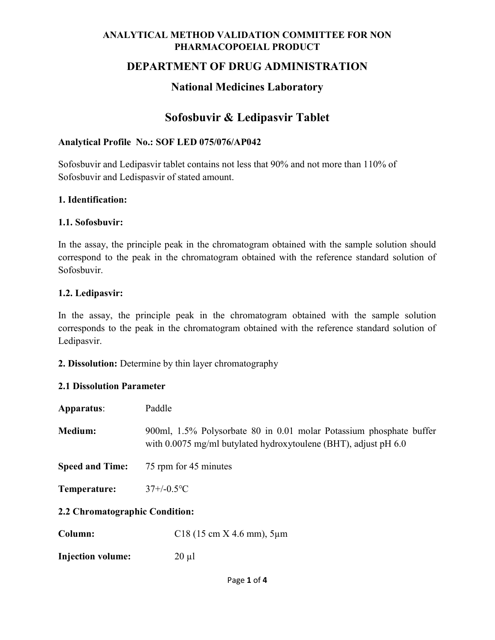### DEPARTMENT OF DRUG ADMINISTRATION

## National Medicines Laboratory

# Sofosbuvir & Ledipasvir Tablet

#### Analytical Profile No.: SOF LED 075/076/AP042

Sofosbuvir and Ledipasvir tablet contains not less that 90% and not more than 110% of Sofosbuvir and Ledispasvir of stated amount.

#### 1. Identification:

#### 1.1. Sofosbuvir:

In the assay, the principle peak in the chromatogram obtained with the sample solution should correspond to the peak in the chromatogram obtained with the reference standard solution of Sofosbuvir.

#### 1.2. Ledipasvir:

In the assay, the principle peak in the chromatogram obtained with the sample solution corresponds to the peak in the chromatogram obtained with the reference standard solution of Ledipasvir.

2. Dissolution: Determine by thin layer chromatography

#### 2.1 Dissolution Parameter

| Apparatus:                     | Paddle                                                                                                                                 |  |  |
|--------------------------------|----------------------------------------------------------------------------------------------------------------------------------------|--|--|
| Medium:                        | 900ml, 1.5% Polysorbate 80 in 0.01 molar Potassium phosphate buffer<br>with 0.0075 mg/ml butylated hydroxytoulene (BHT), adjust pH 6.0 |  |  |
| <b>Speed and Time:</b>         | 75 rpm for 45 minutes                                                                                                                  |  |  |
| Temperature:                   | $37 + (-0.5$ <sup>o</sup> C                                                                                                            |  |  |
| 2.2 Chromatographic Condition: |                                                                                                                                        |  |  |
| Column:                        | $C18$ (15 cm X 4.6 mm), 5 $\mu$ m                                                                                                      |  |  |

Injection volume: 20 µl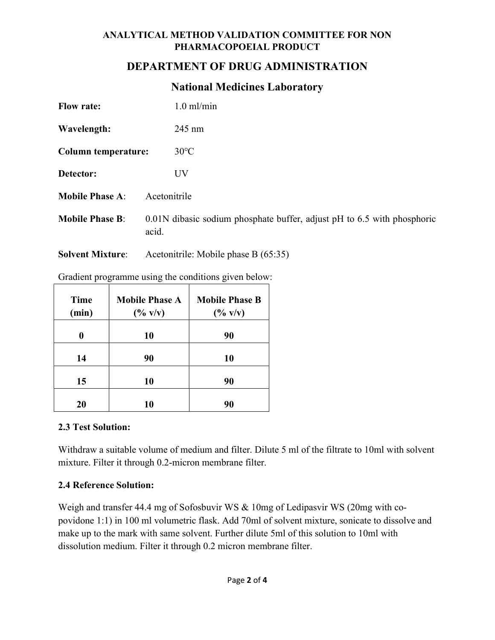## DEPARTMENT OF DRUG ADMINISTRATION

## National Medicines Laboratory

| <b>Flow rate:</b>          | $1.0$ ml/min                                                                     |  |
|----------------------------|----------------------------------------------------------------------------------|--|
| Wavelength:                | $245 \text{ nm}$                                                                 |  |
| <b>Column temperature:</b> | $30^{\circ}$ C                                                                   |  |
| Detector:                  | UV                                                                               |  |
| <b>Mobile Phase A:</b>     | Acetonitrile                                                                     |  |
| <b>Mobile Phase B:</b>     | 0.01N dibasic sodium phosphate buffer, adjust pH to 6.5 with phosphoric<br>acid. |  |

Solvent Mixture: Acetonitrile: Mobile phase B (65:35)

| Time<br>(min) | <b>Mobile Phase A</b><br>$(^{0}/_{0}$ v/v) | <b>Mobile Phase B</b><br>$(*\times 0)$ |
|---------------|--------------------------------------------|----------------------------------------|
|               | 10                                         | 90                                     |
| 14            | 90                                         | 10                                     |
| 15            | 10                                         | 90                                     |
| 20            | 10                                         | 90                                     |

Gradient programme using the conditions given below:

### 2.3 Test Solution:

Withdraw a suitable volume of medium and filter. Dilute 5 ml of the filtrate to 10ml with solvent mixture. Filter it through 0.2-micron membrane filter.

### 2.4 Reference Solution:

Weigh and transfer 44.4 mg of Sofosbuvir WS & 10mg of Ledipasvir WS (20mg with copovidone 1:1) in 100 ml volumetric flask. Add 70ml of solvent mixture, sonicate to dissolve and make up to the mark with same solvent. Further dilute 5ml of this solution to 10ml with dissolution medium. Filter it through 0.2 micron membrane filter.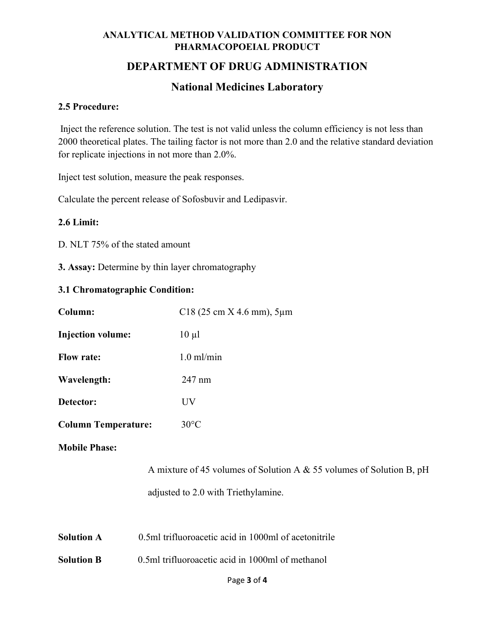## DEPARTMENT OF DRUG ADMINISTRATION

## National Medicines Laboratory

#### 2.5 Procedure:

Inject the reference solution. The test is not valid unless the column efficiency is not less than 2000 theoretical plates. The tailing factor is not more than 2.0 and the relative standard deviation for replicate injections in not more than 2.0%.

Inject test solution, measure the peak responses.

Calculate the percent release of Sofosbuvir and Ledipasvir.

#### 2.6 Limit:

D. NLT 75% of the stated amount

3. Assay: Determine by thin layer chromatography

#### 3.1 Chromatographic Condition:

| Column:                                                              |                                                      | C18 (25 cm $X$ 4.6 mm), 5 $\mu$ m |  |  |
|----------------------------------------------------------------------|------------------------------------------------------|-----------------------------------|--|--|
| <b>Injection volume:</b>                                             |                                                      | $10 \mu l$                        |  |  |
| <b>Flow rate:</b>                                                    |                                                      | $1.0$ ml/min                      |  |  |
| Wavelength:                                                          |                                                      | 247 nm                            |  |  |
| Detector:                                                            |                                                      | UV.                               |  |  |
| <b>Column Temperature:</b>                                           |                                                      | $30^{\circ}$ C                    |  |  |
| <b>Mobile Phase:</b>                                                 |                                                      |                                   |  |  |
| A mixture of 45 volumes of Solution A & 55 volumes of Solution B, pH |                                                      |                                   |  |  |
| adjusted to 2.0 with Triethylamine.                                  |                                                      |                                   |  |  |
|                                                                      |                                                      |                                   |  |  |
| <b>Solution A</b>                                                    | 0.5ml trifluoroacetic acid in 1000ml of acetonitrile |                                   |  |  |
| <b>Solution B</b>                                                    | 0.5ml trifluoroacetic acid in 1000ml of methanol     |                                   |  |  |
|                                                                      |                                                      | Page 3 of 4                       |  |  |